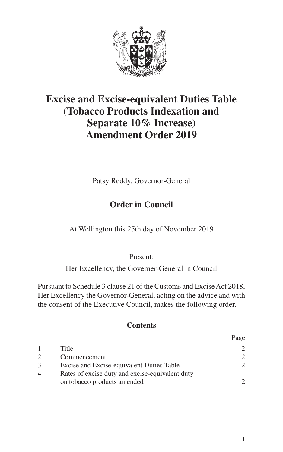

# **Excise and Excise-equivalent Duties Table (Tobacco Products Indexation and Separate 10% Increase) Amendment Order 2019**

Patsy Reddy, Governor-General

### **Order in Council**

At Wellington this 25th day of November 2019

Present:

Her Excellency, the Governer-General in Council

Pursuant to Schedule 3 clause 21 of the Customs and Excise Act 2018, Her Excellency the Governor-General, acting on the advice and with the consent of the Executive Council, makes the following order.

#### **Contents**

|                |                                                 | rage          |
|----------------|-------------------------------------------------|---------------|
|                | Title                                           |               |
|                | Commencement                                    | $\mathcal{D}$ |
| 3              | Excise and Excise-equivalent Duties Table       | $\mathcal{D}$ |
| $\overline{4}$ | Rates of excise duty and excise-equivalent duty |               |
|                | on tobacco products amended                     | $\mathcal{D}$ |
|                |                                                 |               |

 $\mathbf{p}_i$ .